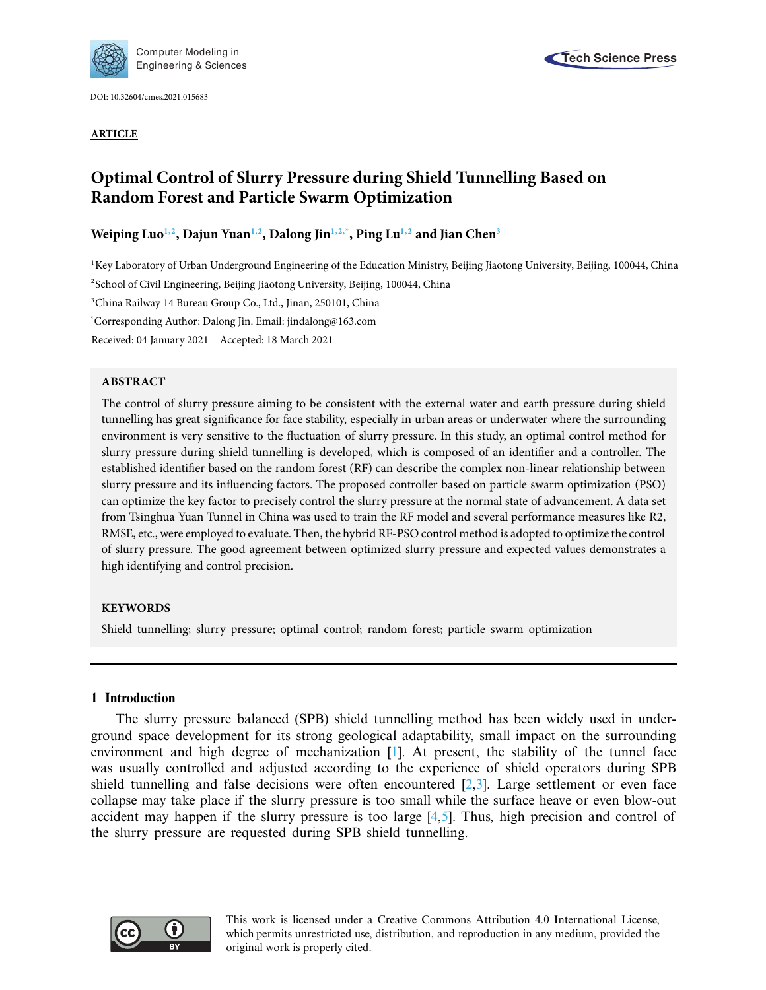

DOI: [10.32604/cmes.2021.015683](http://dx.doi.org/10.32604/cmes.2021.015683)

**ARTICLE**



# **Optimal Control of Slurry Pressure during Shield Tunnelling Based on Random Forest and Particle Swarm Optimization**

**Weiping Lu[o1](#page-0-0)[,2,](#page-0-1) Dajun Yua[n1,](#page-0-0)[2,](#page-0-1) Dalong Ji[n1](#page-0-0)[,2,](#page-0-1)[\\*,](#page-0-2) Ping L[u1](#page-0-0)[,2](#page-0-1) and Jian Che[n3](#page-0-3)**

<span id="page-0-0"></span><sup>1</sup>Key Laboratory of Urban Underground Engineering of the Education Ministry, Beijing Jiaotong University, Beijing, 100044, China

<span id="page-0-1"></span><sup>2</sup>School of Civil Engineering, Beijing Jiaotong University, Beijing, 100044, China

<span id="page-0-3"></span><sup>3</sup>China Railway 14 Bureau Group Co., Ltd., Jinan, 250101, China

<span id="page-0-2"></span>\* Corresponding Author: Dalong Jin. Email: jindalong@163.com

Received: 04 January 2021 Accepted: 18 March 2021

# **ABSTRACT**

The control of slurry pressure aiming to be consistent with the external water and earth pressure during shield tunnelling has great significance for face stability, especially in urban areas or underwater where the surrounding environment is very sensitive to the fluctuation of slurry pressure. In this study, an optimal control method for slurry pressure during shield tunnelling is developed, which is composed of an identifier and a controller. The established identifier based on the random forest (RF) can describe the complex non-linear relationship between slurry pressure and its influencing factors. The proposed controller based on particle swarm optimization (PSO) can optimize the key factor to precisely control the slurry pressure at the normal state of advancement. A data set from Tsinghua Yuan Tunnel in China was used to train the RF model and several performance measures like R2, RMSE, etc., were employed to evaluate. Then, the hybrid RF-PSO control method is adopted to optimize the control of slurry pressure. The good agreement between optimized slurry pressure and expected values demonstrates a high identifying and control precision.

# **KEYWORDS**

Shield tunnelling; slurry pressure; optimal control; random forest; particle swarm optimization

# **1 Introduction**

The slurry pressure balanced (SPB) shield tunnelling method has been widely used in underground space development for its strong geological adaptability, small impact on the surrounding environment and high degree of mechanization [\[1](#page-16-0)]. At present, the stability of the tunnel face was usually controlled and adjusted according to the experience of shield operators during SPB shield tunnelling and false decisions were often encountered  $[2,3]$  $[2,3]$  $[2,3]$ . Large settlement or even face collapse may take place if the slurry pressure is too small while the surface heave or even blow-out accident may happen if the slurry pressure is too large  $[4,5]$  $[4,5]$ . Thus, high precision and control of the slurry pressure are requested during SPB shield tunnelling.



This work is licensed under a Creative Commons Attribution 4.0 International License, which permits unrestricted use, distribution, and reproduction in any medium, provided the original work is properly cited.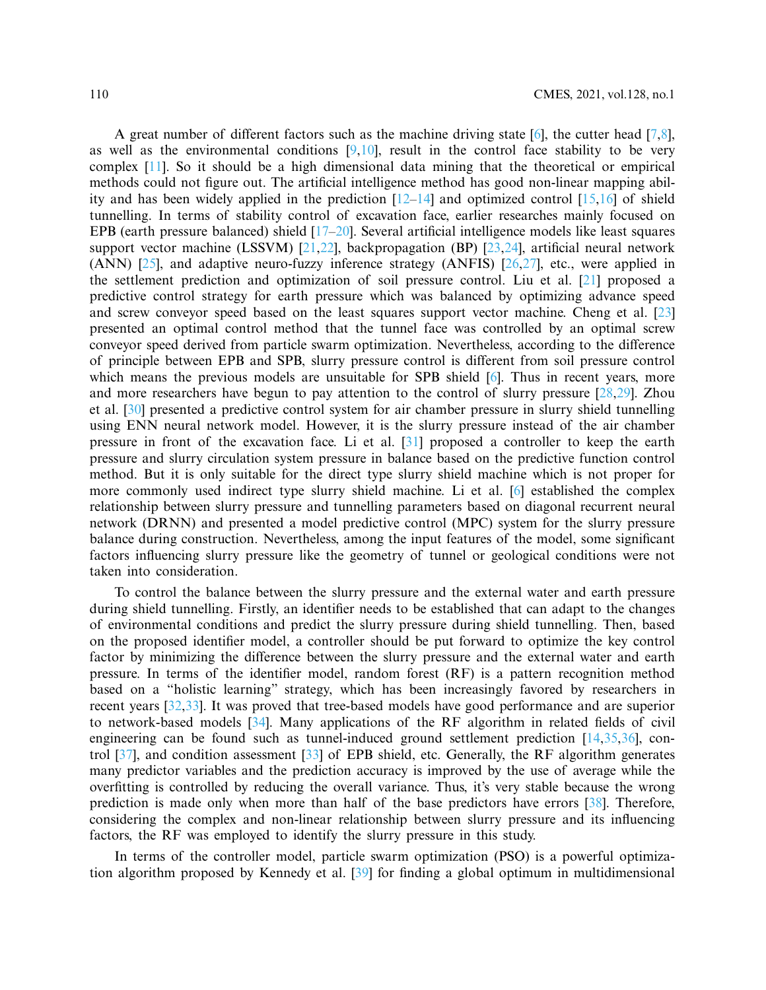A great number of different factors such as the machine driving state [\[6](#page-16-5)], the cutter head [\[7](#page-16-6)[,8\]](#page-16-7), as well as the environmental conditions  $[9,10]$  $[9,10]$  $[9,10]$ , result in the control face stability to be very complex [\[11\]](#page-17-0). So it should be a high dimensional data mining that the theoretical or empirical methods could not figure out. The artificial intelligence method has good non-linear mapping ability and has been widely applied in the prediction  $[12-14]$  $[12-14]$  and optimized control  $[15,16]$  $[15,16]$  $[15,16]$  of shield tunnelling. In terms of stability control of excavation face, earlier researches mainly focused on EPB (earth pressure balanced) shield [\[17](#page-17-5)[–20](#page-17-6)]. Several artificial intelligence models like least squares support vector machine (LSSVM) [\[21](#page-17-7)[,22](#page-17-8)], backpropagation (BP) [\[23](#page-17-9)[,24](#page-17-10)], artificial neural network (ANN) [\[25\]](#page-17-11), and adaptive neuro-fuzzy inference strategy (ANFIS) [\[26](#page-17-12)[,27\]](#page-17-13), etc., were applied in the settlement prediction and optimization of soil pressure control. Liu et al. [\[21](#page-17-7)] proposed a predictive control strategy for earth pressure which was balanced by optimizing advance speed and screw conveyor speed based on the least squares support vector machine. Cheng et al. [\[23\]](#page-17-9) presented an optimal control method that the tunnel face was controlled by an optimal screw conveyor speed derived from particle swarm optimization. Nevertheless, according to the difference of principle between EPB and SPB, slurry pressure control is different from soil pressure control which means the previous models are unsuitable for SPB shield [\[6](#page-16-5)]. Thus in recent years, more and more researchers have begun to pay attention to the control of slurry pressure [\[28](#page-17-14)[,29](#page-17-15)]. Zhou et al. [\[30\]](#page-18-0) presented a predictive control system for air chamber pressure in slurry shield tunnelling using ENN neural network model. However, it is the slurry pressure instead of the air chamber pressure in front of the excavation face. Li et al. [\[31](#page-18-1)] proposed a controller to keep the earth pressure and slurry circulation system pressure in balance based on the predictive function control method. But it is only suitable for the direct type slurry shield machine which is not proper for more commonly used indirect type slurry shield machine. Li et al. [\[6](#page-16-5)] established the complex relationship between slurry pressure and tunnelling parameters based on diagonal recurrent neural network (DRNN) and presented a model predictive control (MPC) system for the slurry pressure balance during construction. Nevertheless, among the input features of the model, some significant factors influencing slurry pressure like the geometry of tunnel or geological conditions were not taken into consideration.

To control the balance between the slurry pressure and the external water and earth pressure during shield tunnelling. Firstly, an identifier needs to be established that can adapt to the changes of environmental conditions and predict the slurry pressure during shield tunnelling. Then, based on the proposed identifier model, a controller should be put forward to optimize the key control factor by minimizing the difference between the slurry pressure and the external water and earth pressure. In terms of the identifier model, random forest (RF) is a pattern recognition method based on a "holistic learning" strategy, which has been increasingly favored by researchers in recent years [\[32](#page-18-2)[,33](#page-18-3)]. It was proved that tree-based models have good performance and are superior to network-based models [\[34](#page-18-4)]. Many applications of the RF algorithm in related fields of civil engineering can be found such as tunnel-induced ground settlement prediction [\[14](#page-17-2)[,35](#page-18-5)[,36\]](#page-18-6), control [\[37](#page-18-7)], and condition assessment [\[33](#page-18-3)] of EPB shield, etc. Generally, the RF algorithm generates many predictor variables and the prediction accuracy is improved by the use of average while the overfitting is controlled by reducing the overall variance. Thus, it's very stable because the wrong prediction is made only when more than half of the base predictors have errors [\[38\]](#page-18-8). Therefore, considering the complex and non-linear relationship between slurry pressure and its influencing factors, the RF was employed to identify the slurry pressure in this study.

In terms of the controller model, particle swarm optimization (PSO) is a powerful optimization algorithm proposed by Kennedy et al. [\[39\]](#page-18-9) for finding a global optimum in multidimensional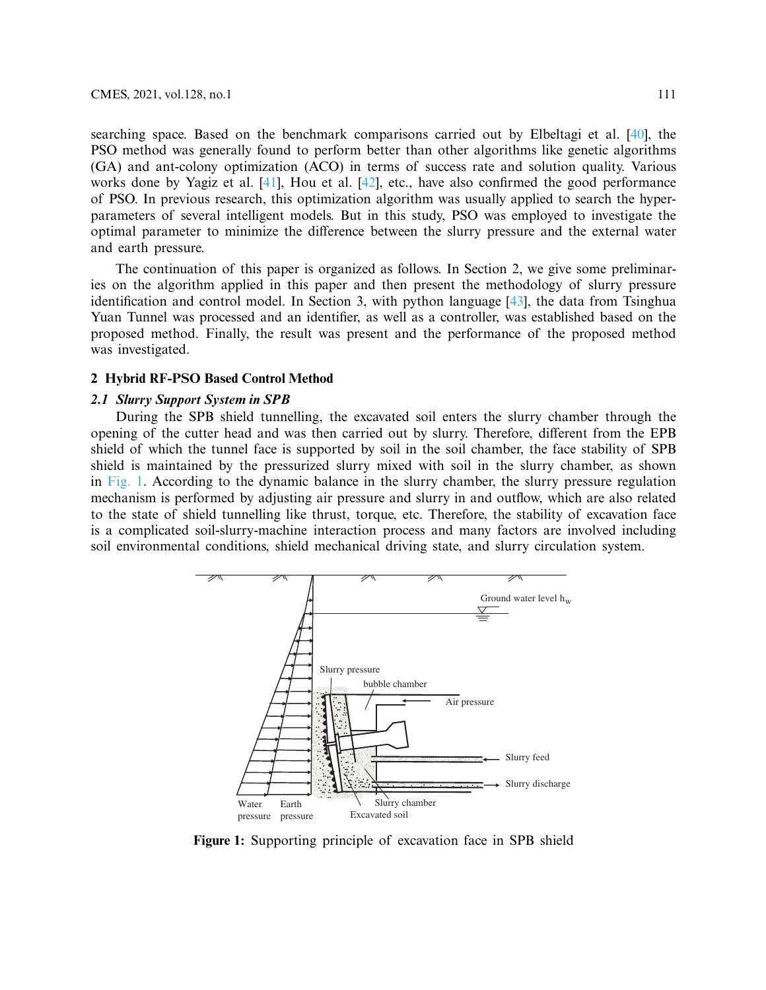and earth pressure.

searching space. Based on the benchmark comparisons carried out by Elbeltagi et al. [\[40](#page-18-10)], the PSO method was generally found to perform better than other algorithms like genetic algorithms (GA) and ant-colony optimization (ACO) in terms of success rate and solution quality. Various works done by Yagiz et al. [\[41\]](#page-18-11), Hou et al. [\[42](#page-18-12)], etc., have also confirmed the good performance of PSO. In previous research, this optimization algorithm was usually applied to search the hyperparameters of several intelligent models. But in this study, PSO was employed to investigate the optimal parameter to minimize the difference between the slurry pressure and the external water

The continuation of this paper is organized as follows. In Section 2, we give some preliminaries on the algorithm applied in this paper and then present the methodology of slurry pressure identification and control model. In Section 3, with python language [\[43\]](#page-18-13), the data from Tsinghua Yuan Tunnel was processed and an identifier, as well as a controller, was established based on the proposed method. Finally, the result was present and the performance of the proposed method was investigated.

# **2 Hybrid RF-PSO Based Control Method**

#### *2.1 Slurry Support System in SPB*

During the SPB shield tunnelling, the excavated soil enters the slurry chamber through the opening of the cutter head and was then carried out by slurry. Therefore, different from the EPB shield of which the tunnel face is supported by soil in the soil chamber, the face stability of SPB shield is maintained by the pressurized slurry mixed with soil in the slurry chamber, as shown in [Fig. 1.](#page-2-0) According to the dynamic balance in the slurry chamber, the slurry pressure regulation mechanism is performed by adjusting air pressure and slurry in and outflow, which are also related to the state of shield tunnelling like thrust, torque, etc. Therefore, the stability of excavation face is a complicated soil-slurry-machine interaction process and many factors are involved including soil environmental conditions, shield mechanical driving state, and slurry circulation system.



<span id="page-2-0"></span>**Figure 1:** Supporting principle of excavation face in SPB shield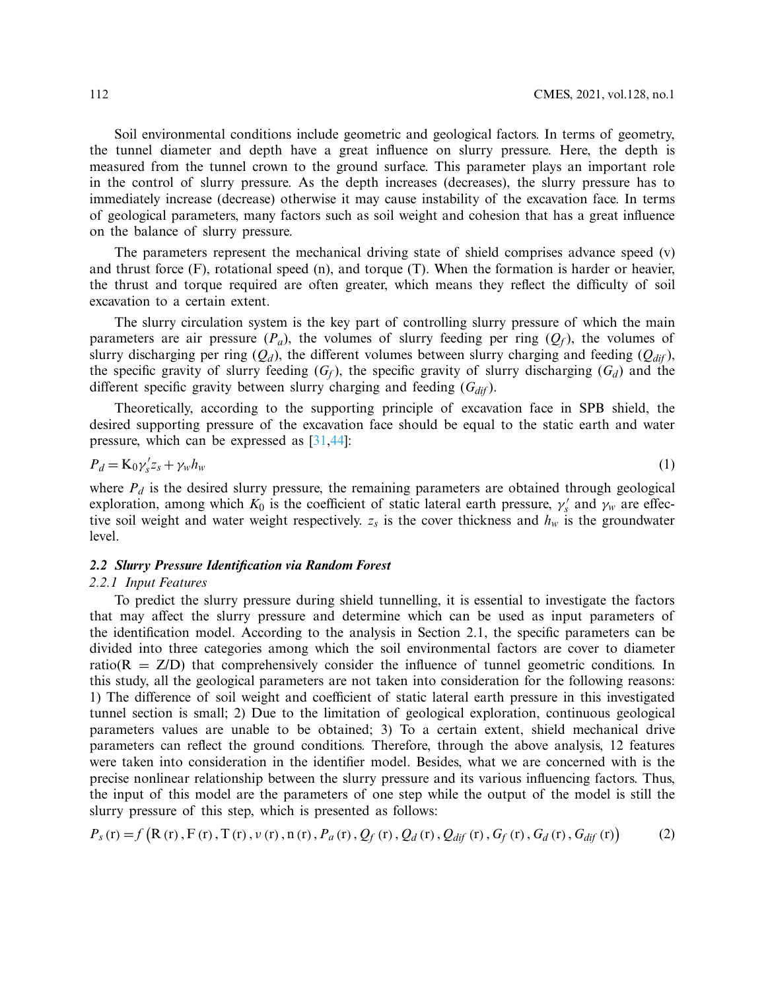Soil environmental conditions include geometric and geological factors. In terms of geometry, the tunnel diameter and depth have a great influence on slurry pressure. Here, the depth is measured from the tunnel crown to the ground surface. This parameter plays an important role in the control of slurry pressure. As the depth increases (decreases), the slurry pressure has to immediately increase (decrease) otherwise it may cause instability of the excavation face. In terms of geological parameters, many factors such as soil weight and cohesion that has a great influence on the balance of slurry pressure.

The parameters represent the mechanical driving state of shield comprises advance speed (v) and thrust force  $(F)$ , rotational speed  $(n)$ , and torque  $(T)$ . When the formation is harder or heavier, the thrust and torque required are often greater, which means they reflect the difficulty of soil excavation to a certain extent.

The slurry circulation system is the key part of controlling slurry pressure of which the main parameters are air pressure  $(P_a)$ , the volumes of slurry feeding per ring  $(Q_f)$ , the volumes of slurry discharging per ring  $(Q_d)$ , the different volumes between slurry charging and feeding  $(Q_{dif})$ , the specific gravity of slurry feeding  $(G_f)$ , the specific gravity of slurry discharging  $(G_d)$  and the different specific gravity between slurry charging and feeding  $(G_{dif})$ .

Theoretically, according to the supporting principle of excavation face in SPB shield, the desired supporting pressure of the excavation face should be equal to the static earth and water pressure, which can be expressed as [\[31](#page-18-1)[,44](#page-18-14)]:

$$
P_d = \mathbf{K}_0 \gamma_s' z_s + \gamma_w h_w \tag{1}
$$

where  $P_d$  is the desired slurry pressure, the remaining parameters are obtained through geological exploration, among which  $K_0$  is the coefficient of static lateral earth pressure,  $\gamma_s'$  and  $\gamma_w$  are effective soil weight and water weight respectively.  $z_s$  is the cover thickness and  $h_w$  is the groundwater level.

# *2.2 Slurry Pressure Identification via Random Forest*

#### *2.2.1 Input Features*

To predict the slurry pressure during shield tunnelling, it is essential to investigate the factors that may affect the slurry pressure and determine which can be used as input parameters of the identification model. According to the analysis in Section 2.1, the specific parameters can be divided into three categories among which the soil environmental factors are cover to diameter ratio( $R = Z/D$ ) that comprehensively consider the influence of tunnel geometric conditions. In this study, all the geological parameters are not taken into consideration for the following reasons: 1) The difference of soil weight and coefficient of static lateral earth pressure in this investigated tunnel section is small; 2) Due to the limitation of geological exploration, continuous geological parameters values are unable to be obtained; 3) To a certain extent, shield mechanical drive parameters can reflect the ground conditions. Therefore, through the above analysis, 12 features were taken into consideration in the identifier model. Besides, what we are concerned with is the precise nonlinear relationship between the slurry pressure and its various influencing factors. Thus, the input of this model are the parameters of one step while the output of the model is still the slurry pressure of this step, which is presented as follows:

$$
P_{s}(r) = f(R(r), F(r), T(r), \nu(r), n(r), P_{a}(r), Q_{f}(r), Q_{d}(r), Q_{dif}(r), G_{f}(r), G_{d}(r), G_{dif}(r))
$$
 (2)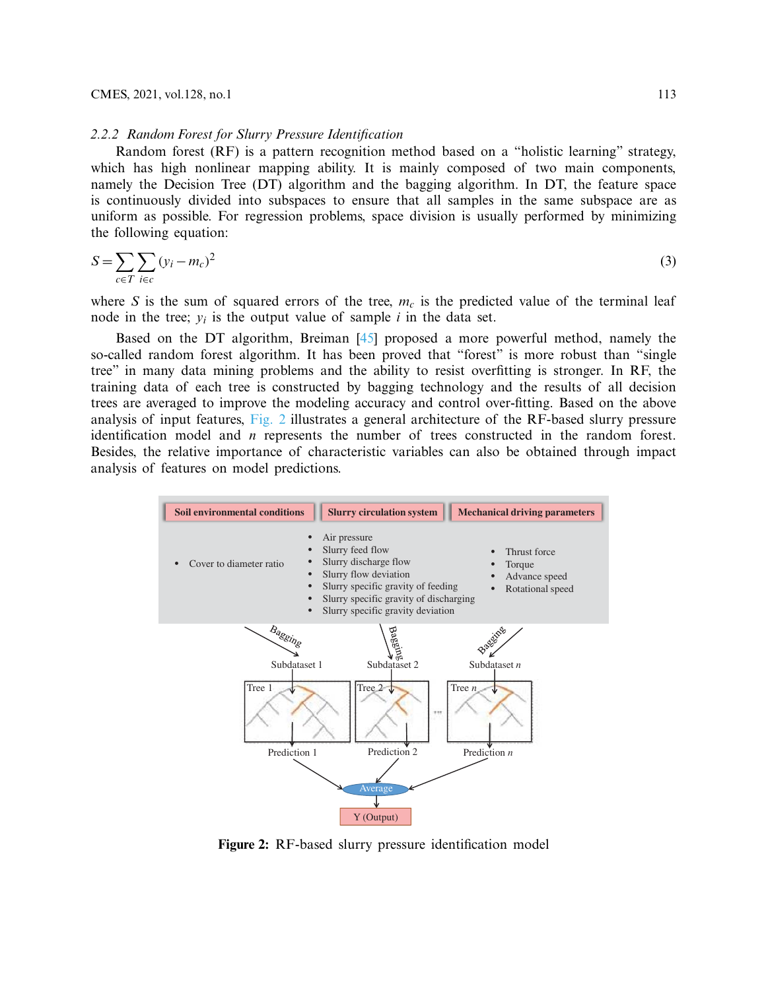# *2.2.2 Random Forest for Slurry Pressure Identification*

Random forest (RF) is a pattern recognition method based on a "holistic learning" strategy, which has high nonlinear mapping ability. It is mainly composed of two main components, namely the Decision Tree (DT) algorithm and the bagging algorithm. In DT, the feature space is continuously divided into subspaces to ensure that all samples in the same subspace are as uniform as possible. For regression problems, space division is usually performed by minimizing the following equation:

$$
S = \sum_{c \in T} \sum_{i \in c} (y_i - m_c)^2
$$
 (3)

where *S* is the sum of squared errors of the tree,  $m<sub>c</sub>$  is the predicted value of the terminal leaf node in the tree;  $y_i$  is the output value of sample  $i$  in the data set.

Based on the DT algorithm, Breiman [\[45\]](#page-18-15) proposed a more powerful method, namely the so-called random forest algorithm. It has been proved that "forest" is more robust than "single tree" in many data mining problems and the ability to resist overfitting is stronger. In RF, the training data of each tree is constructed by bagging technology and the results of all decision trees are averaged to improve the modeling accuracy and control over-fitting. Based on the above analysis of input features, [Fig. 2](#page-4-0) illustrates a general architecture of the RF-based slurry pressure identification model and *n* represents the number of trees constructed in the random forest. Besides, the relative importance of characteristic variables can also be obtained through impact analysis of features on model predictions.



<span id="page-4-0"></span>**Figure 2:** RF-based slurry pressure identification model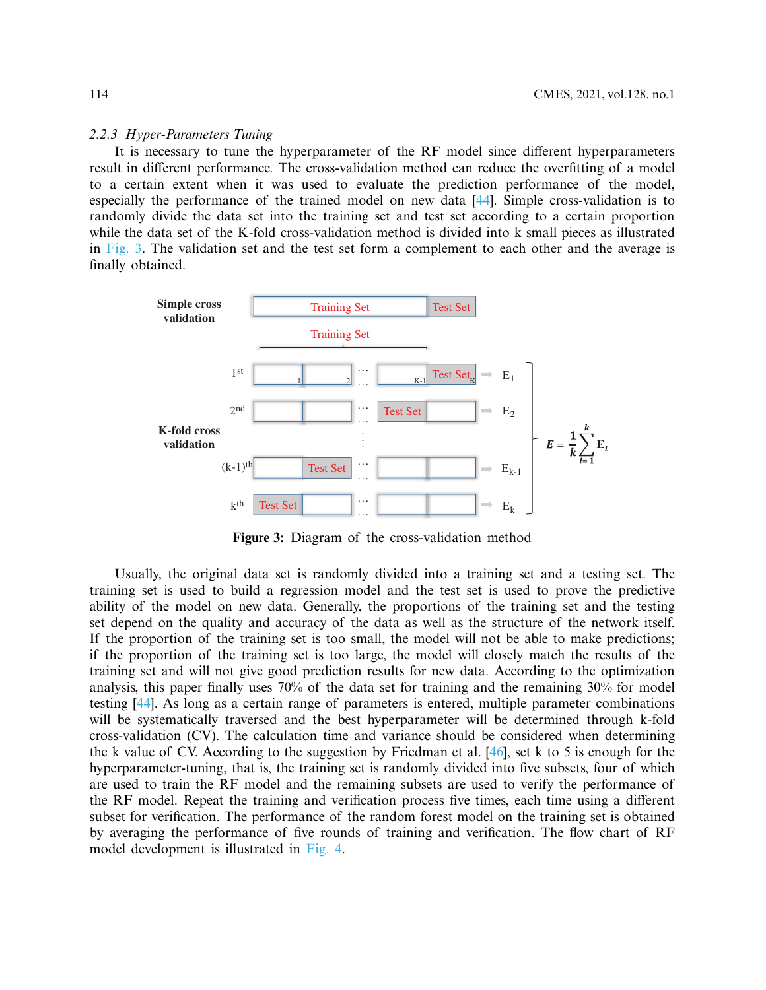#### *2.2.3 Hyper-Parameters Tuning*

It is necessary to tune the hyperparameter of the RF model since different hyperparameters result in different performance. The cross-validation method can reduce the overfitting of a model to a certain extent when it was used to evaluate the prediction performance of the model, especially the performance of the trained model on new data [\[44\]](#page-18-14). Simple cross-validation is to randomly divide the data set into the training set and test set according to a certain proportion while the data set of the K-fold cross-validation method is divided into k small pieces as illustrated in [Fig. 3.](#page-5-0) The validation set and the test set form a complement to each other and the average is finally obtained.



<span id="page-5-0"></span>**Figure 3:** Diagram of the cross-validation method

Usually, the original data set is randomly divided into a training set and a testing set. The training set is used to build a regression model and the test set is used to prove the predictive ability of the model on new data. Generally, the proportions of the training set and the testing set depend on the quality and accuracy of the data as well as the structure of the network itself. If the proportion of the training set is too small, the model will not be able to make predictions; if the proportion of the training set is too large, the model will closely match the results of the training set and will not give good prediction results for new data. According to the optimization analysis, this paper finally uses 70% of the data set for training and the remaining 30% for model testing [\[44](#page-18-14)]. As long as a certain range of parameters is entered, multiple parameter combinations will be systematically traversed and the best hyperparameter will be determined through k-fold cross-validation (CV). The calculation time and variance should be considered when determining the k value of CV. According to the suggestion by Friedman et al. [\[46](#page-18-16)], set k to 5 is enough for the hyperparameter-tuning, that is, the training set is randomly divided into five subsets, four of which are used to train the RF model and the remaining subsets are used to verify the performance of the RF model. Repeat the training and verification process five times, each time using a different subset for verification. The performance of the random forest model on the training set is obtained by averaging the performance of five rounds of training and verification. The flow chart of RF model development is illustrated in [Fig. 4.](#page-6-0)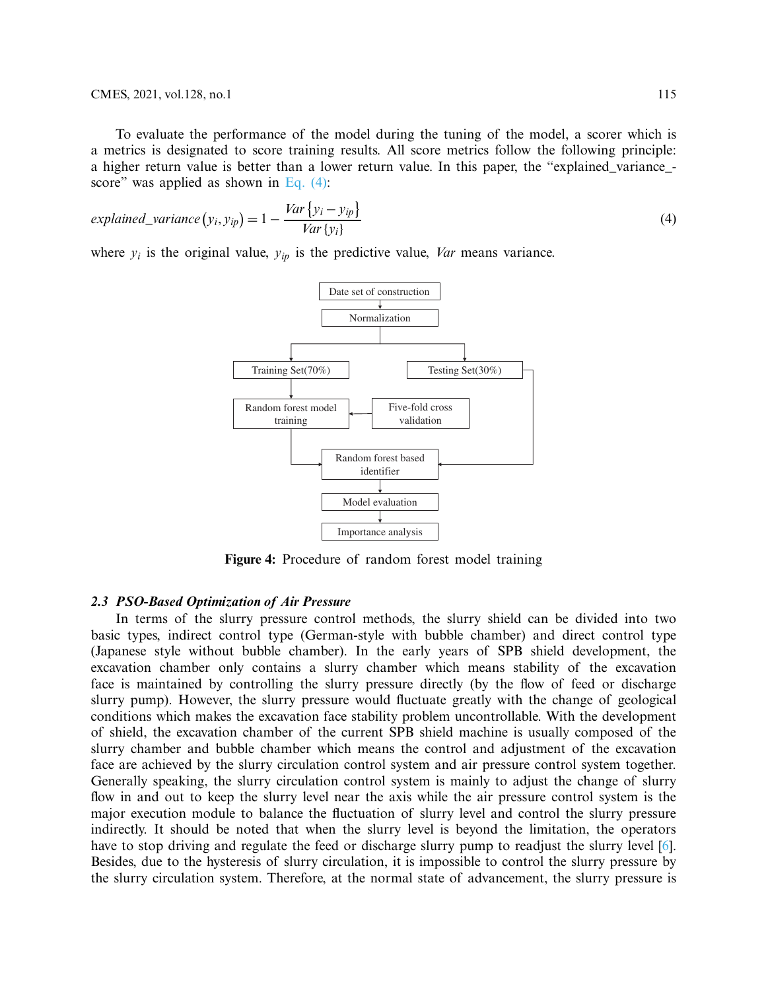To evaluate the performance of the model during the tuning of the model, a scorer which is a metrics is designated to score training results. All score metrics follow the following principle: a higher return value is better than a lower return value. In this paper, the "explained\_variance\_- score" was applied as shown in [Eq. \(4\):](#page-6-1)

$$
explained\_variance(y_i, y_{ip}) = 1 - \frac{Var\{y_i - y_{ip}\}}{Var\{y_i\}}
$$
\n
$$
(4)
$$

where  $y_i$  is the original value,  $y_{ip}$  is the predictive value, *Var* means variance.

<span id="page-6-1"></span>

<span id="page-6-0"></span>**Figure 4:** Procedure of random forest model training

## *2.3 PSO-Based Optimization of Air Pressure*

In terms of the slurry pressure control methods, the slurry shield can be divided into two basic types, indirect control type (German-style with bubble chamber) and direct control type (Japanese style without bubble chamber). In the early years of SPB shield development, the excavation chamber only contains a slurry chamber which means stability of the excavation face is maintained by controlling the slurry pressure directly (by the flow of feed or discharge slurry pump). However, the slurry pressure would fluctuate greatly with the change of geological conditions which makes the excavation face stability problem uncontrollable. With the development of shield, the excavation chamber of the current SPB shield machine is usually composed of the slurry chamber and bubble chamber which means the control and adjustment of the excavation face are achieved by the slurry circulation control system and air pressure control system together. Generally speaking, the slurry circulation control system is mainly to adjust the change of slurry flow in and out to keep the slurry level near the axis while the air pressure control system is the major execution module to balance the fluctuation of slurry level and control the slurry pressure indirectly. It should be noted that when the slurry level is beyond the limitation, the operators have to stop driving and regulate the feed or discharge slurry pump to readjust the slurry level [\[6\]](#page-16-5). Besides, due to the hysteresis of slurry circulation, it is impossible to control the slurry pressure by the slurry circulation system. Therefore, at the normal state of advancement, the slurry pressure is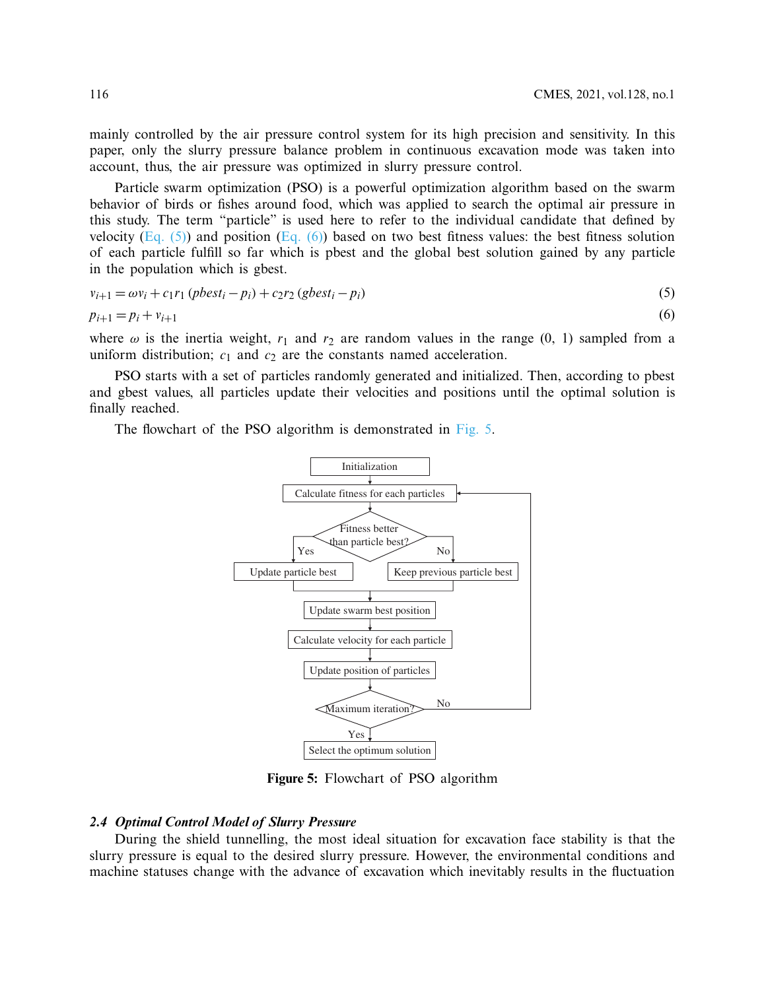mainly controlled by the air pressure control system for its high precision and sensitivity. In this paper, only the slurry pressure balance problem in continuous excavation mode was taken into account, thus, the air pressure was optimized in slurry pressure control.

Particle swarm optimization (PSO) is a powerful optimization algorithm based on the swarm behavior of birds or fishes around food, which was applied to search the optimal air pressure in this study. The term "particle" is used here to refer to the individual candidate that defined by velocity (Eq.  $(5)$ ) and position (Eq.  $(6)$ ) based on two best fitness values: the best fitness solution of each particle fulfill so far which is pbest and the global best solution gained by any particle in the population which is gbest.

$$
v_{i+1} = \omega v_i + c_1 r_1 (pbest_i - p_i) + c_2 r_2 (gbest_i - p_i)
$$
\n(5)

$$
p_{i+1} = p_i + v_{i+1} \tag{6}
$$

where  $\omega$  is the inertia weight,  $r_1$  and  $r_2$  are random values in the range (0, 1) sampled from a uniform distribution;  $c_1$  and  $c_2$  are the constants named acceleration.

PSO starts with a set of particles randomly generated and initialized. Then, according to pbest and gbest values, all particles update their velocities and positions until the optimal solution is finally reached.

The flowchart of the PSO algorithm is demonstrated in [Fig. 5.](#page-7-2)

<span id="page-7-1"></span><span id="page-7-0"></span>

<span id="page-7-2"></span>**Figure 5:** Flowchart of PSO algorithm

#### *2.4 Optimal Control Model of Slurry Pressure*

During the shield tunnelling, the most ideal situation for excavation face stability is that the slurry pressure is equal to the desired slurry pressure. However, the environmental conditions and machine statuses change with the advance of excavation which inevitably results in the fluctuation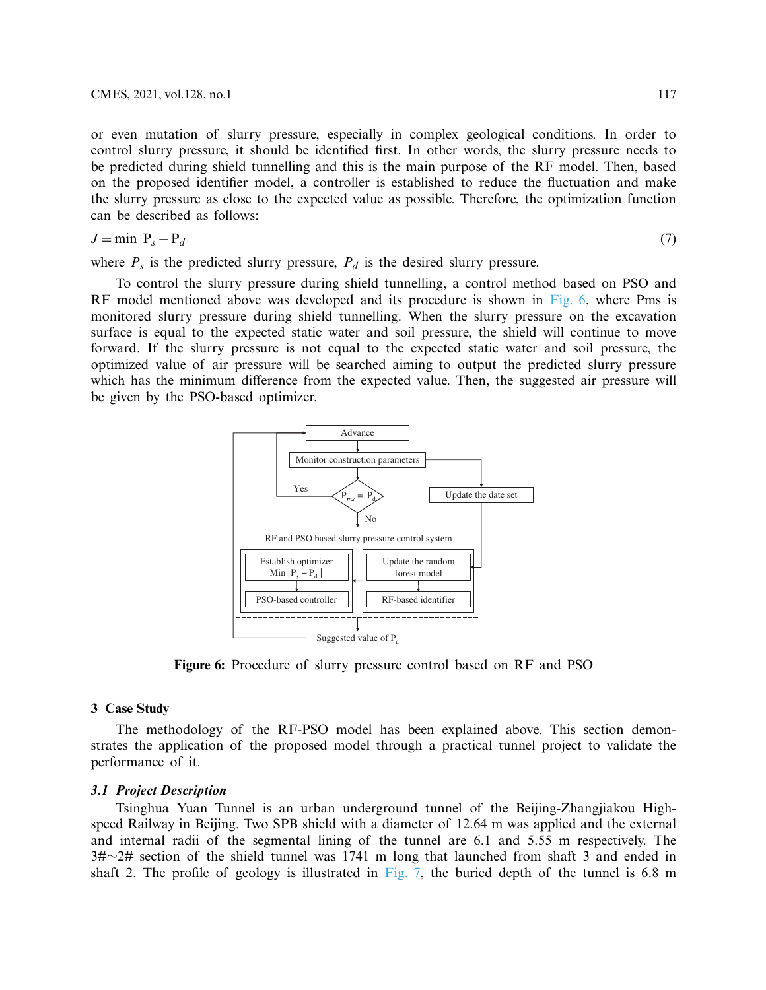or even mutation of slurry pressure, especially in complex geological conditions. In order to control slurry pressure, it should be identified first. In other words, the slurry pressure needs to be predicted during shield tunnelling and this is the main purpose of the RF model. Then, based on the proposed identifier model, a controller is established to reduce the fluctuation and make the slurry pressure as close to the expected value as possible. Therefore, the optimization function can be described as follows:

$$
J = \min |P_s - P_d| \tag{7}
$$

where  $P_s$  is the predicted slurry pressure,  $P_d$  is the desired slurry pressure.

To control the slurry pressure during shield tunnelling, a control method based on PSO and RF model mentioned above was developed and its procedure is shown in [Fig. 6,](#page-8-0) where Pms is monitored slurry pressure during shield tunnelling. When the slurry pressure on the excavation surface is equal to the expected static water and soil pressure, the shield will continue to move forward. If the slurry pressure is not equal to the expected static water and soil pressure, the optimized value of air pressure will be searched aiming to output the predicted slurry pressure which has the minimum difference from the expected value. Then, the suggested air pressure will be given by the PSO-based optimizer.



<span id="page-8-0"></span>**Figure 6:** Procedure of slurry pressure control based on RF and PSO

#### **3 Case Study**

The methodology of the RF-PSO model has been explained above. This section demonstrates the application of the proposed model through a practical tunnel project to validate the performance of it.

## *3.1 Project Description*

Tsinghua Yuan Tunnel is an urban underground tunnel of the Beijing-Zhangjiakou Highspeed Railway in Beijing. Two SPB shield with a diameter of 12.64 m was applied and the external and internal radii of the segmental lining of the tunnel are 6.1 and 5.55 m respectively. The 3#∼2# section of the shield tunnel was 1741 m long that launched from shaft 3 and ended in shaft 2. The profile of geology is illustrated in [Fig. 7,](#page-9-0) the buried depth of the tunnel is 6.8 m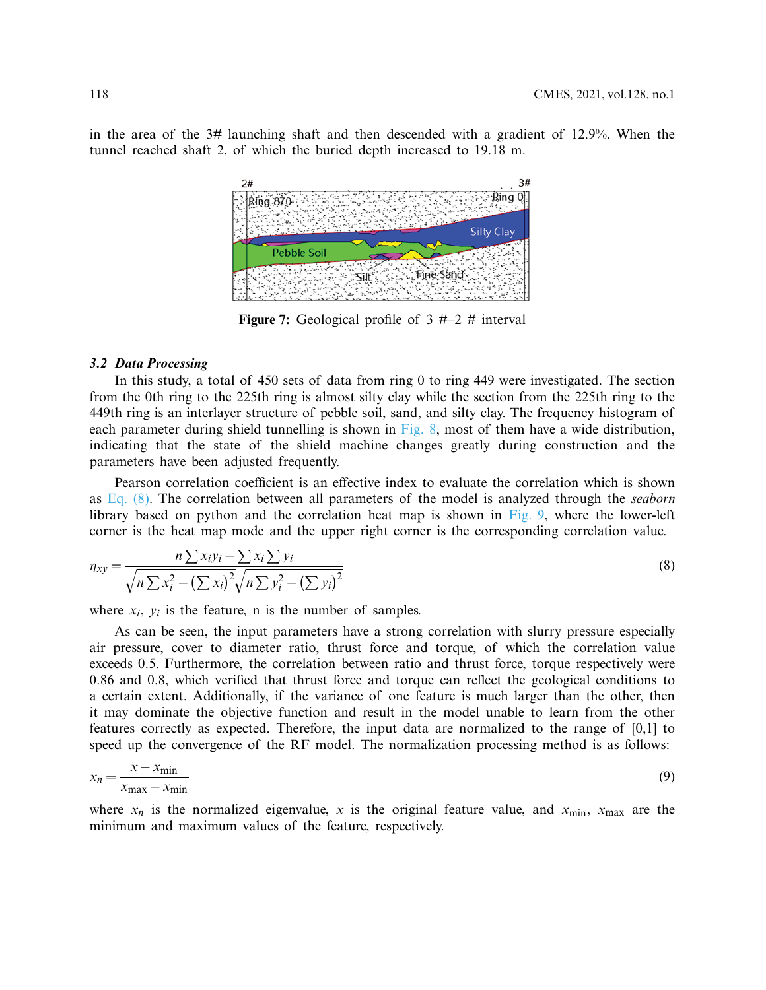in the area of the 3# launching shaft and then descended with a gradient of 12.9%. When the tunnel reached shaft 2, of which the buried depth increased to 19.18 m.



<span id="page-9-1"></span><span id="page-9-0"></span>**Figure 7:** Geological profile of 3 #–2 # interval

### *3.2 Data Processing*

In this study, a total of 450 sets of data from ring 0 to ring 449 were investigated. The section from the 0th ring to the 225th ring is almost silty clay while the section from the 225th ring to the 449th ring is an interlayer structure of pebble soil, sand, and silty clay. The frequency histogram of each parameter during shield tunnelling is shown in [Fig. 8,](#page-11-0) most of them have a wide distribution, indicating that the state of the shield machine changes greatly during construction and the parameters have been adjusted frequently.

Pearson correlation coefficient is an effective index to evaluate the correlation which is shown as [Eq. \(8\).](#page-9-1) The correlation between all parameters of the model is analyzed through the *seaborn* library based on python and the correlation heat map is shown in [Fig. 9,](#page-12-0) where the lower-left corner is the heat map mode and the upper right corner is the corresponding correlation value.

$$
\eta_{xy} = \frac{n\sum x_i y_i - \sum x_i \sum y_i}{\sqrt{n\sum x_i^2 - (\sum x_i)^2} \sqrt{n\sum y_i^2 - (\sum y_i)^2}}
$$
\n(8)

where  $x_i$ ,  $y_i$  is the feature, n is the number of samples.

As can be seen, the input parameters have a strong correlation with slurry pressure especially air pressure, cover to diameter ratio, thrust force and torque, of which the correlation value exceeds 0.5. Furthermore, the correlation between ratio and thrust force, torque respectively were 0.86 and 0.8, which verified that thrust force and torque can reflect the geological conditions to a certain extent. Additionally, if the variance of one feature is much larger than the other, then it may dominate the objective function and result in the model unable to learn from the other features correctly as expected. Therefore, the input data are normalized to the range of [0,1] to speed up the convergence of the RF model. The normalization processing method is as follows:

$$
x_n = \frac{x - x_{\text{min}}}{x_{\text{max}} - x_{\text{min}}} \tag{9}
$$

where  $x_n$  is the normalized eigenvalue, x is the original feature value, and  $x_{\text{min}}$ ,  $x_{\text{max}}$  are the minimum and maximum values of the feature, respectively.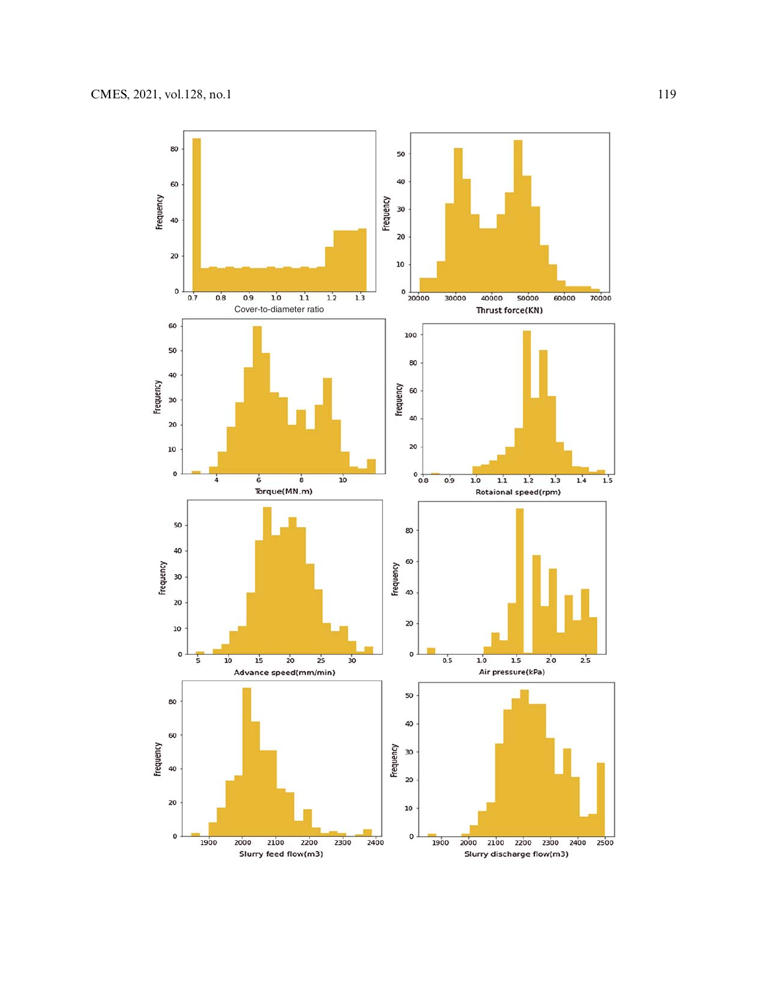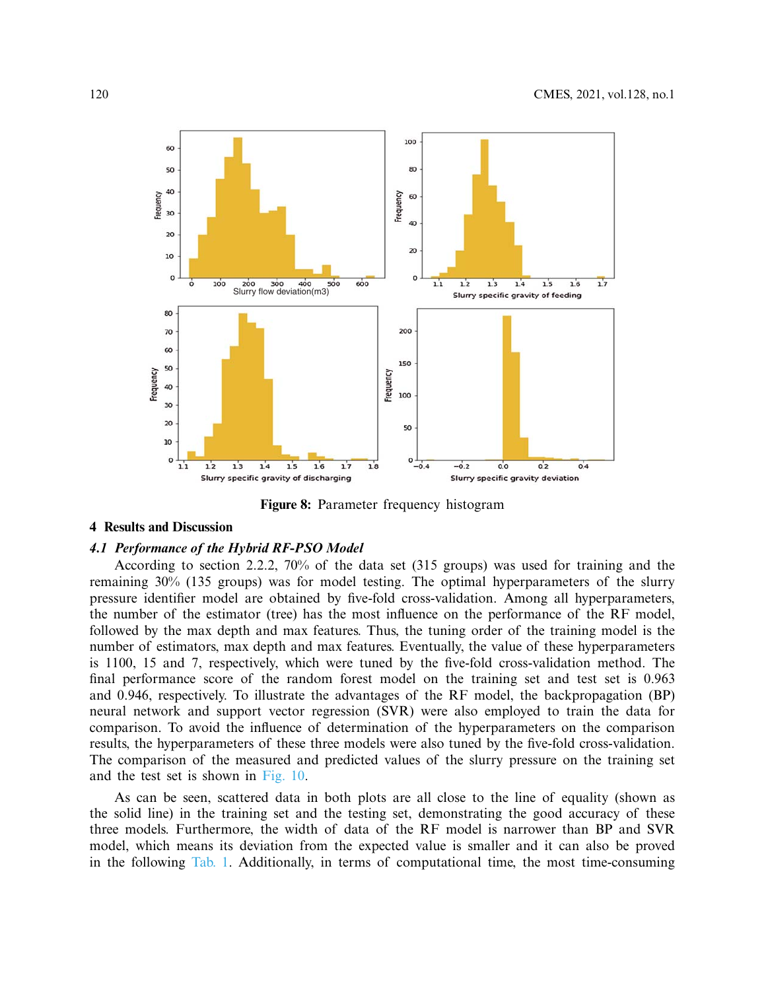

<span id="page-11-0"></span>**Figure 8:** Parameter frequency histogram

#### **4 Results and Discussion**

### *4.1 Performance of the Hybrid RF-PSO Model*

According to section 2.2.2, 70% of the data set (315 groups) was used for training and the remaining 30% (135 groups) was for model testing. The optimal hyperparameters of the slurry pressure identifier model are obtained by five-fold cross-validation. Among all hyperparameters, the number of the estimator (tree) has the most influence on the performance of the RF model, followed by the max depth and max features. Thus, the tuning order of the training model is the number of estimators, max depth and max features. Eventually, the value of these hyperparameters is 1100, 15 and 7, respectively, which were tuned by the five-fold cross-validation method. The final performance score of the random forest model on the training set and test set is 0.963 and 0.946, respectively. To illustrate the advantages of the RF model, the backpropagation (BP) neural network and support vector regression (SVR) were also employed to train the data for comparison. To avoid the influence of determination of the hyperparameters on the comparison results, the hyperparameters of these three models were also tuned by the five-fold cross-validation. The comparison of the measured and predicted values of the slurry pressure on the training set and the test set is shown in [Fig. 10.](#page-12-1)

As can be seen, scattered data in both plots are all close to the line of equality (shown as the solid line) in the training set and the testing set, demonstrating the good accuracy of these three models. Furthermore, the width of data of the RF model is narrower than BP and SVR model, which means its deviation from the expected value is smaller and it can also be proved in the following [Tab. 1.](#page-13-0) Additionally, in terms of computational time, the most time-consuming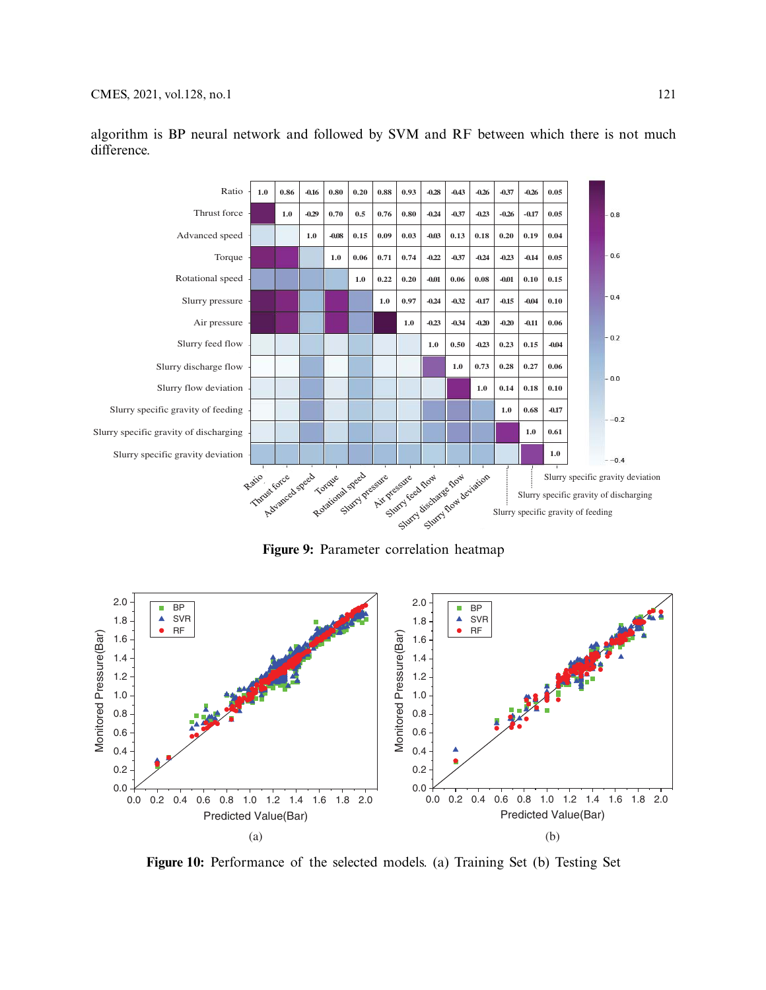

algorithm is BP neural network and followed by SVM and RF between which there is not much difference.

<span id="page-12-1"></span><span id="page-12-0"></span>**Figure 9:** Parameter correlation heatmap



**Figure 10:** Performance of the selected models. (a) Training Set (b) Testing Set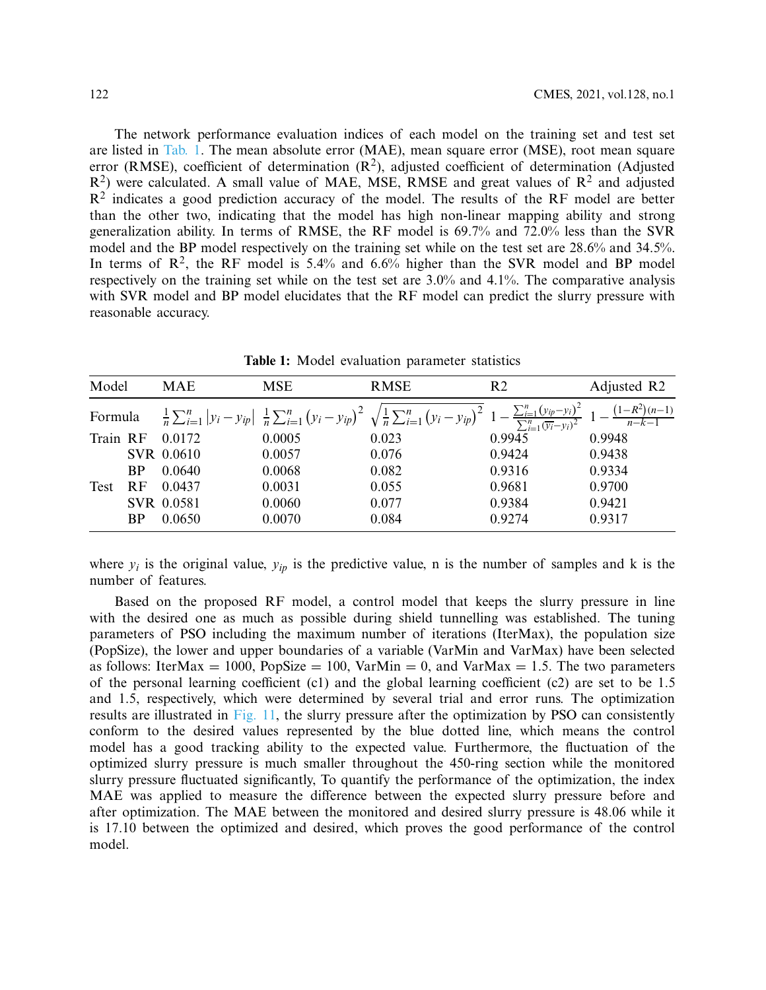The network performance evaluation indices of each model on the training set and test set are listed in [Tab. 1.](#page-13-0) The mean absolute error (MAE), mean square error (MSE), root mean square error (RMSE), coefficient of determination  $(R^2)$ , adjusted coefficient of determination (Adjusted  $R<sup>2</sup>$ ) were calculated. A small value of MAE, MSE, RMSE and great values of  $R<sup>2</sup>$  and adjusted  $R^2$  indicates a good prediction accuracy of the model. The results of the RF model are better than the other two, indicating that the model has high non-linear mapping ability and strong generalization ability. In terms of RMSE, the RF model is 69.7% and 72.0% less than the SVR model and the BP model respectively on the training set while on the test set are 28.6% and 34.5%. In terms of  $\mathbb{R}^2$ , the RF model is 5.4% and 6.6% higher than the SVR model and BP model respectively on the training set while on the test set are 3.0% and 4.1%. The comparative analysis with SVR model and BP model elucidates that the RF model can predict the slurry pressure with reasonable accuracy.

<span id="page-13-0"></span>

| Model<br>Formula |           | MAE        | <b>MSE</b> | <b>RMSE</b>                                                                                                                                                                     | R <sub>2</sub> | Adjusted R2                |
|------------------|-----------|------------|------------|---------------------------------------------------------------------------------------------------------------------------------------------------------------------------------|----------------|----------------------------|
|                  |           |            |            | $\frac{1}{n}\sum_{i=1}^n  y_i - y_{ip}  + \frac{1}{n}\sum_{i=1}^n (y_i - y_{ip})^2 + \sqrt{\frac{1}{n}\sum_{i=1}^n (y_i - y_{ip})^2} + \frac{1}{\sum_{i=1}^n (y_{ip} - y_i)^2}$ |                | $1-\frac{(1-R^2)(n-1)}{2}$ |
| Train RF         |           | 0.0172     | 0.0005     | 0.023                                                                                                                                                                           | 0.9945         | 0.9948                     |
|                  |           | SVR 0.0610 | 0.0057     | 0.076                                                                                                                                                                           | 0.9424         | 0.9438                     |
|                  | <b>BP</b> | 0.0640     | 0.0068     | 0.082                                                                                                                                                                           | 0.9316         | 0.9334                     |
| Test             | <b>RF</b> | 0.0437     | 0.0031     | 0.055                                                                                                                                                                           | 0.9681         | 0.9700                     |
|                  |           | SVR 0.0581 | 0.0060     | 0.077                                                                                                                                                                           | 0.9384         | 0.9421                     |
|                  | <b>BP</b> | 0.0650     | 0.0070     | 0.084                                                                                                                                                                           | 0.9274         | 0.9317                     |

**Table 1:** Model evaluation parameter statistics

where  $y_i$  is the original value,  $y_{ip}$  is the predictive value, n is the number of samples and k is the number of features.

Based on the proposed RF model, a control model that keeps the slurry pressure in line with the desired one as much as possible during shield tunnelling was established. The tuning parameters of PSO including the maximum number of iterations (IterMax), the population size (PopSize), the lower and upper boundaries of a variable (VarMin and VarMax) have been selected as follows: IterMax = 1000, PopSize = 100, VarMin = 0, and VarMax = 1.5. The two parameters of the personal learning coefficient (c1) and the global learning coefficient (c2) are set to be 1.5 and 1.5, respectively, which were determined by several trial and error runs. The optimization results are illustrated in [Fig. 11,](#page-14-0) the slurry pressure after the optimization by PSO can consistently conform to the desired values represented by the blue dotted line, which means the control model has a good tracking ability to the expected value. Furthermore, the fluctuation of the optimized slurry pressure is much smaller throughout the 450-ring section while the monitored slurry pressure fluctuated significantly, To quantify the performance of the optimization, the index MAE was applied to measure the difference between the expected slurry pressure before and after optimization. The MAE between the monitored and desired slurry pressure is 48.06 while it is 17.10 between the optimized and desired, which proves the good performance of the control model.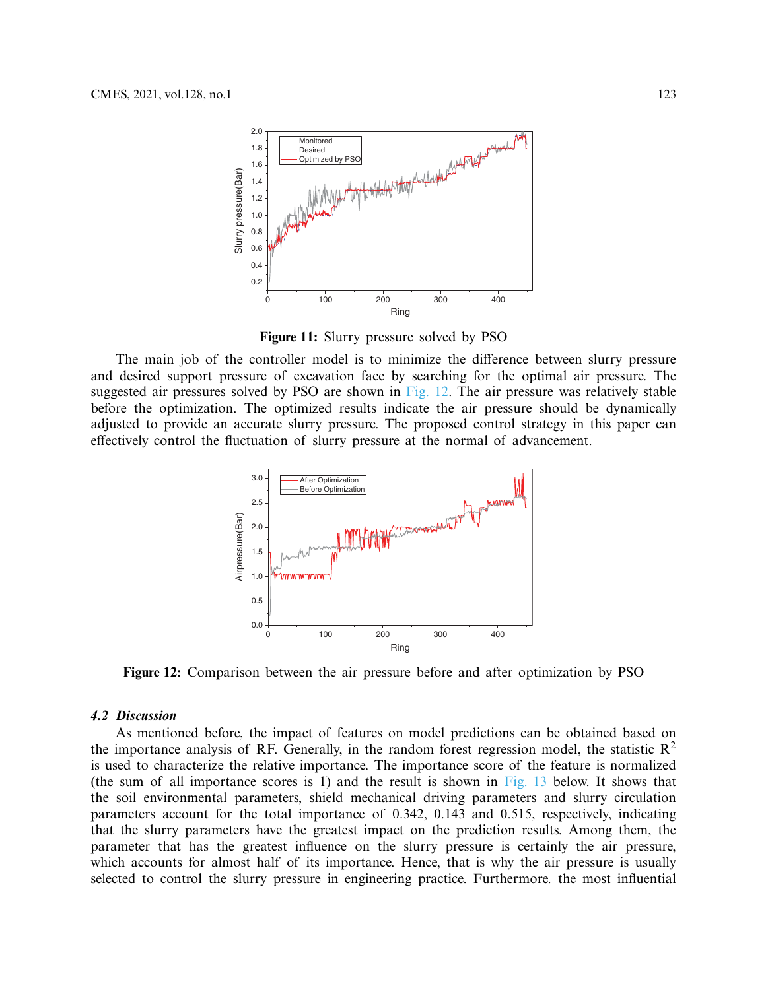

<span id="page-14-0"></span>**Figure 11:** Slurry pressure solved by PSO

The main job of the controller model is to minimize the difference between slurry pressure and desired support pressure of excavation face by searching for the optimal air pressure. The suggested air pressures solved by PSO are shown in [Fig. 12.](#page-14-1) The air pressure was relatively stable before the optimization. The optimized results indicate the air pressure should be dynamically adjusted to provide an accurate slurry pressure. The proposed control strategy in this paper can effectively control the fluctuation of slurry pressure at the normal of advancement.

<span id="page-14-1"></span>

**Figure 12:** Comparison between the air pressure before and after optimization by PSO

### *4.2 Discussion*

As mentioned before, the impact of features on model predictions can be obtained based on the importance analysis of RF. Generally, in the random forest regression model, the statistic  $\mathbb{R}^2$ is used to characterize the relative importance. The importance score of the feature is normalized (the sum of all importance scores is 1) and the result is shown in [Fig. 13](#page-15-0) below. It shows that the soil environmental parameters, shield mechanical driving parameters and slurry circulation parameters account for the total importance of 0.342, 0.143 and 0.515, respectively, indicating that the slurry parameters have the greatest impact on the prediction results. Among them, the parameter that has the greatest influence on the slurry pressure is certainly the air pressure, which accounts for almost half of its importance. Hence, that is why the air pressure is usually selected to control the slurry pressure in engineering practice. Furthermore. the most influential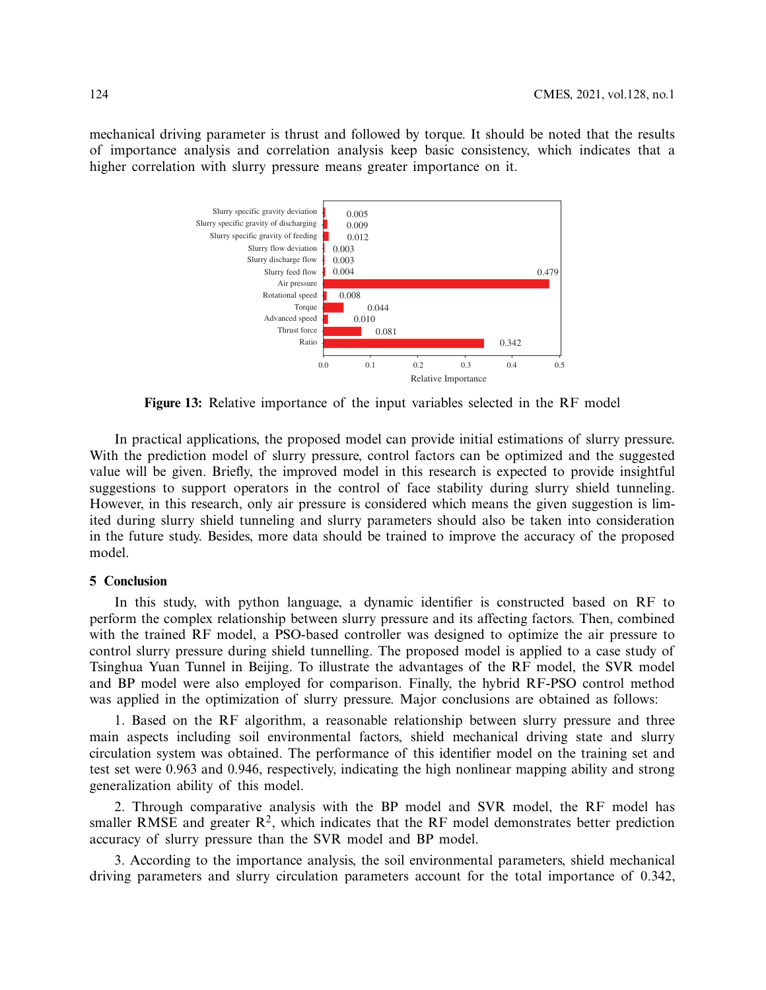mechanical driving parameter is thrust and followed by torque. It should be noted that the results of importance analysis and correlation analysis keep basic consistency, which indicates that a higher correlation with slurry pressure means greater importance on it.



<span id="page-15-0"></span>**Figure 13:** Relative importance of the input variables selected in the RF model

In practical applications, the proposed model can provide initial estimations of slurry pressure. With the prediction model of slurry pressure, control factors can be optimized and the suggested value will be given. Briefly, the improved model in this research is expected to provide insightful suggestions to support operators in the control of face stability during slurry shield tunneling. However, in this research, only air pressure is considered which means the given suggestion is limited during slurry shield tunneling and slurry parameters should also be taken into consideration in the future study. Besides, more data should be trained to improve the accuracy of the proposed model.

# **5 Conclusion**

In this study, with python language, a dynamic identifier is constructed based on RF to perform the complex relationship between slurry pressure and its affecting factors. Then, combined with the trained RF model, a PSO-based controller was designed to optimize the air pressure to control slurry pressure during shield tunnelling. The proposed model is applied to a case study of Tsinghua Yuan Tunnel in Beijing. To illustrate the advantages of the RF model, the SVR model and BP model were also employed for comparison. Finally, the hybrid RF-PSO control method was applied in the optimization of slurry pressure. Major conclusions are obtained as follows:

1. Based on the RF algorithm, a reasonable relationship between slurry pressure and three main aspects including soil environmental factors, shield mechanical driving state and slurry circulation system was obtained. The performance of this identifier model on the training set and test set were 0.963 and 0.946, respectively, indicating the high nonlinear mapping ability and strong generalization ability of this model.

2. Through comparative analysis with the BP model and SVR model, the RF model has smaller RMSE and greater  $\mathbb{R}^2$ , which indicates that the RF model demonstrates better prediction accuracy of slurry pressure than the SVR model and BP model.

3. According to the importance analysis, the soil environmental parameters, shield mechanical driving parameters and slurry circulation parameters account for the total importance of 0.342,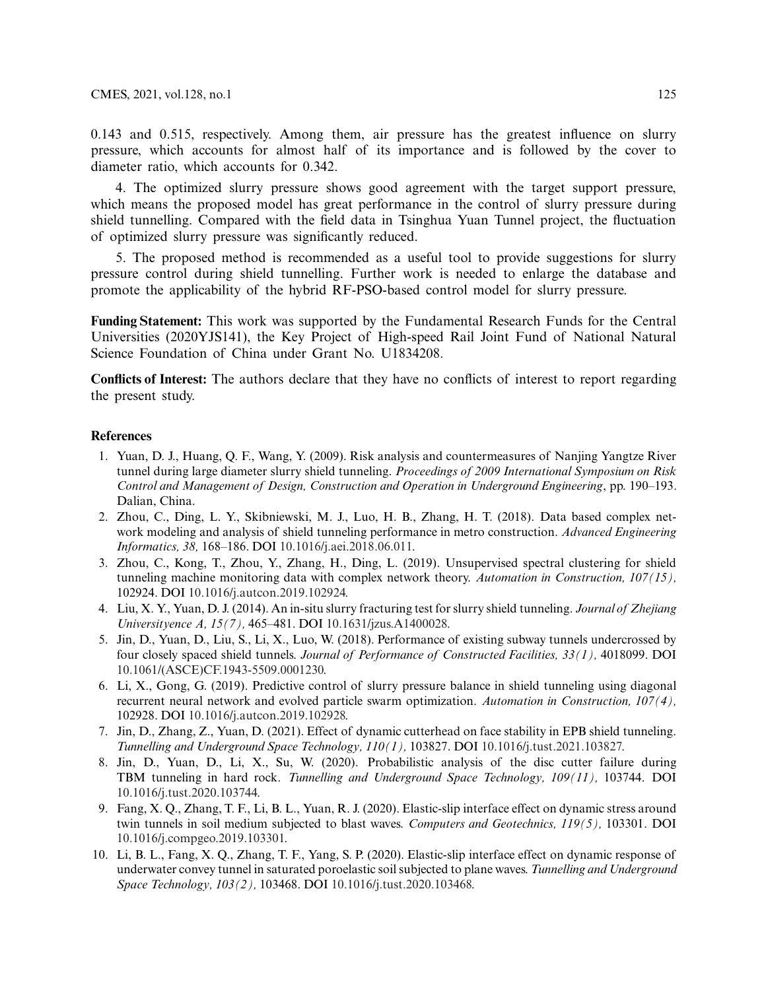0.143 and 0.515, respectively. Among them, air pressure has the greatest influence on slurry pressure, which accounts for almost half of its importance and is followed by the cover to diameter ratio, which accounts for 0.342.

4. The optimized slurry pressure shows good agreement with the target support pressure, which means the proposed model has great performance in the control of slurry pressure during shield tunnelling. Compared with the field data in Tsinghua Yuan Tunnel project, the fluctuation of optimized slurry pressure was significantly reduced.

5. The proposed method is recommended as a useful tool to provide suggestions for slurry pressure control during shield tunnelling. Further work is needed to enlarge the database and promote the applicability of the hybrid RF-PSO-based control model for slurry pressure.

**Funding Statement:** This work was supported by the Fundamental Research Funds for the Central Universities (2020YJS141), the Key Project of High-speed Rail Joint Fund of National Natural Science Foundation of China under Grant No. U1834208.

**Conflicts of Interest:** The authors declare that they have no conflicts of interest to report regarding the present study.

#### **References**

- <span id="page-16-0"></span>1. Yuan, D. J., Huang, Q. F., Wang, Y. (2009). Risk analysis and countermeasures of Nanjing Yangtze River tunnel during large diameter slurry shield tunneling. *Proceedings of 2009 International Symposium on Risk Control and Management of Design, Construction and Operation in Underground Engineering*, pp. 190–193. Dalian, China.
- <span id="page-16-1"></span>2. Zhou, C., Ding, L. Y., Skibniewski, M. J., Luo, H. B., Zhang, H. T. (2018). Data based complex network modeling and analysis of shield tunneling performance in metro construction. *Advanced Engineering Informatics, 38,* 168–186. DOI [10.1016/j.aei.2018.06.011.](http://dx.doi.org/10.1016/j.aei.2018.06.011)
- <span id="page-16-2"></span>3. Zhou, C., Kong, T., Zhou, Y., Zhang, H., Ding, L. (2019). Unsupervised spectral clustering for shield tunneling machine monitoring data with complex network theory. *Automation in Construction, 107(15),* 102924. DOI [10.1016/j.autcon.2019.102924.](http://dx.doi.org/10.1016/j.autcon.2019.102924)
- <span id="page-16-3"></span>4. Liu, X. Y., Yuan, D. J. (2014). An in-situ slurry fracturing test for slurry shield tunneling. *Journal of Zhejiang Universityence A, 15(7),* 465–481. DOI [10.1631/jzus.A1400028.](http://dx.doi.org/10.1631/jzus.A1400028)
- <span id="page-16-4"></span>5. Jin, D., Yuan, D., Liu, S., Li, X., Luo, W. (2018). Performance of existing subway tunnels undercrossed by four closely spaced shield tunnels. *Journal of Performance of Constructed Facilities, 33(1),* 4018099. DOI [10.1061/\(ASCE\)CF.1943-5509.0001230.](http://dx.doi.org/10.1061/(ASCE)CF.1943-5509.0001230)
- <span id="page-16-5"></span>6. Li, X., Gong, G. (2019). Predictive control of slurry pressure balance in shield tunneling using diagonal recurrent neural network and evolved particle swarm optimization. *Automation in Construction, 107(4),* 102928. DOI [10.1016/j.autcon.2019.102928.](http://dx.doi.org/10.1016/j.autcon.2019.102928)
- <span id="page-16-6"></span>7. Jin, D., Zhang, Z., Yuan, D. (2021). Effect of dynamic cutterhead on face stability in EPB shield tunneling. *Tunnelling and Underground Space Technology, 110(1),* 103827. DOI [10.1016/j.tust.2021.103827.](http://dx.doi.org/10.1016/j.tust.2021.103827)
- <span id="page-16-7"></span>8. Jin, D., Yuan, D., Li, X., Su, W. (2020). Probabilistic analysis of the disc cutter failure during TBM tunneling in hard rock. *Tunnelling and Underground Space Technology, 109(11),* 103744. DOI [10.1016/j.tust.2020.103744.](http://dx.doi.org/10.1016/j.tust.2020.103744)
- <span id="page-16-8"></span>9. Fang, X. Q., Zhang, T. F., Li, B. L., Yuan, R. J. (2020). Elastic-slip interface effect on dynamic stress around twin tunnels in soil medium subjected to blast waves. *Computers and Geotechnics, 119(5),* 103301. DOI [10.1016/j.compgeo.2019.103301.](http://dx.doi.org/10.1016/j.compgeo.2019.103301)
- <span id="page-16-9"></span>10. Li, B. L., Fang, X. Q., Zhang, T. F., Yang, S. P. (2020). Elastic-slip interface effect on dynamic response of underwater convey tunnel in saturated poroelastic soil subjected to plane waves. *Tunnelling and Underground Space Technology, 103(2),* 103468. DOI [10.1016/j.tust.2020.103468.](http://dx.doi.org/10.1016/j.tust.2020.103468)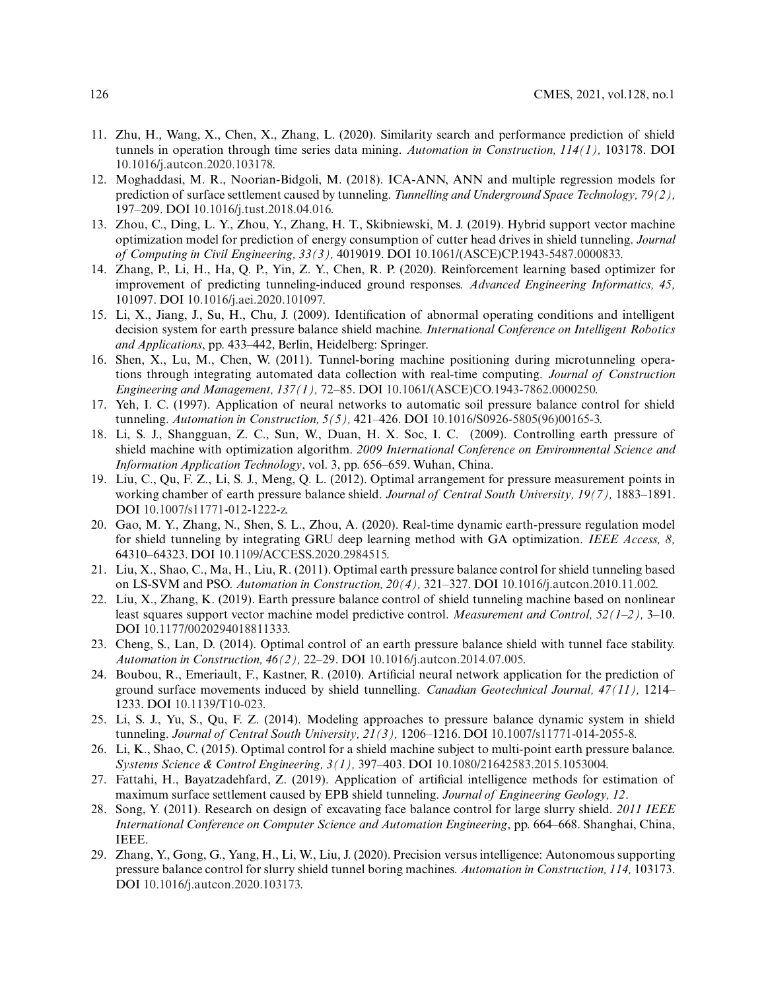- <span id="page-17-0"></span>11. Zhu, H., Wang, X., Chen, X., Zhang, L. (2020). Similarity search and performance prediction of shield tunnels in operation through time series data mining. *Automation in Construction, 114(1),* 103178. DOI [10.1016/j.autcon.2020.103178.](http://dx.doi.org/10.1016/j.autcon.2020.103178)
- <span id="page-17-1"></span>12. Moghaddasi, M. R., Noorian-Bidgoli, M. (2018). ICA-ANN, ANN and multiple regression models for prediction of surface settlement caused by tunneling. *Tunnelling and Underground Space Technology, 79(2),* 197–209. DOI [10.1016/j.tust.2018.04.016.](http://dx.doi.org/10.1016/j.tust.2018.04.016)
- 13. Zhou, C., Ding, L. Y., Zhou, Y., Zhang, H. T., Skibniewski, M. J. (2019). Hybrid support vector machine optimization model for prediction of energy consumption of cutter head drives in shield tunneling. *Journal of Computing in Civil Engineering, 33(3),* 4019019. DOI [10.1061/\(ASCE\)CP.1943-5487.0000833.](http://dx.doi.org/10.1061/(ASCE)CP.1943-5487.0000833)
- <span id="page-17-2"></span>14. Zhang, P., Li, H., Ha, Q. P., Yin, Z. Y., Chen, R. P. (2020). Reinforcement learning based optimizer for improvement of predicting tunneling-induced ground responses. *Advanced Engineering Informatics, 45,* 101097. DOI [10.1016/j.aei.2020.101097.](http://dx.doi.org/10.1016/j.aei.2020.101097)
- <span id="page-17-3"></span>15. Li, X., Jiang, J., Su, H., Chu, J. (2009). Identification of abnormal operating conditions and intelligent decision system for earth pressure balance shield machine. *International Conference on Intelligent Robotics and Applications*, pp. 433–442, Berlin, Heidelberg: Springer.
- <span id="page-17-4"></span>16. Shen, X., Lu, M., Chen, W. (2011). Tunnel-boring machine positioning during microtunneling operations through integrating automated data collection with real-time computing. *Journal of Construction Engineering and Management, 137(1),* 72–85. DOI [10.1061/\(ASCE\)CO.1943-7862.0000250.](http://dx.doi.org/10.1061/(ASCE)CO.1943-7862.0000250)
- <span id="page-17-5"></span>17. Yeh, I. C. (1997). Application of neural networks to automatic soil pressure balance control for shield tunneling. *Automation in Construction, 5(5),* 421–426. DOI [10.1016/S0926-5805\(96\)00165-3.](http://dx.doi.org/10.1016/S0926-5805(96)00165-3)
- 18. Li, S. J., Shangguan, Z. C., Sun, W., Duan, H. X. Soc, I. C. (2009). Controlling earth pressure of shield machine with optimization algorithm. *2009 International Conference on Environmental Science and Information Application Technology*, vol. 3, pp. 656–659. Wuhan, China.
- 19. Liu, C., Qu, F. Z., Li, S. J., Meng, Q. L. (2012). Optimal arrangement for pressure measurement points in working chamber of earth pressure balance shield. *Journal of Central South University, 19(7),* 1883–1891. DOI [10.1007/s11771-012-1222-z.](http://dx.doi.org/10.1007/s11771-012-1222-z)
- <span id="page-17-6"></span>20. Gao, M. Y., Zhang, N., Shen, S. L., Zhou, A. (2020). Real-time dynamic earth-pressure regulation model for shield tunneling by integrating GRU deep learning method with GA optimization. *IEEE Access, 8,* 64310–64323. DOI [10.1109/ACCESS.2020.2984515.](http://dx.doi.org/10.1109/ACCESS.2020.2984515)
- <span id="page-17-7"></span>21. Liu, X., Shao, C., Ma, H., Liu, R. (2011). Optimal earth pressure balance control for shield tunneling based on LS-SVM and PSO. *Automation in Construction, 20(4),* 321–327. DOI [10.1016/j.autcon.2010.11.002.](http://dx.doi.org/10.1016/j.autcon.2010.11.002)
- <span id="page-17-8"></span>22. Liu, X., Zhang, K. (2019). Earth pressure balance control of shield tunneling machine based on nonlinear least squares support vector machine model predictive control. *Measurement and Control, 52(1–2),* 3–10. DOI [10.1177/0020294018811333.](http://dx.doi.org/10.1177/0020294018811333)
- <span id="page-17-9"></span>23. Cheng, S., Lan, D. (2014). Optimal control of an earth pressure balance shield with tunnel face stability. *Automation in Construction, 46(2),* 22–29. DOI [10.1016/j.autcon.2014.07.005.](http://dx.doi.org/10.1016/j.autcon.2014.07.005)
- <span id="page-17-10"></span>24. Boubou, R., Emeriault, F., Kastner, R. (2010). Artificial neural network application for the prediction of ground surface movements induced by shield tunnelling. *Canadian Geotechnical Journal, 47(11),* 1214– 1233. DOI [10.1139/T10-023.](http://dx.doi.org/10.1139/T10-023)
- <span id="page-17-11"></span>25. Li, S. J., Yu, S., Qu, F. Z. (2014). Modeling approaches to pressure balance dynamic system in shield tunneling. *Journal of Central South University, 21(3),* 1206–1216. DOI [10.1007/s11771-014-2055-8.](http://dx.doi.org/10.1007/s11771-014-2055-8)
- <span id="page-17-12"></span>26. Li, K., Shao, C. (2015). Optimal control for a shield machine subject to multi-point earth pressure balance. *Systems Science & Control Engineering, 3(1),* 397–403. DOI [10.1080/21642583.2015.1053004.](http://dx.doi.org/10.1080/21642583.2015.1053004)
- <span id="page-17-13"></span>27. Fattahi, H., Bayatzadehfard, Z. (2019). Application of artificial intelligence methods for estimation of maximum surface settlement caused by EPB shield tunneling. *Journal of Engineering Geology, 12*.
- <span id="page-17-14"></span>28. Song, Y. (2011). Research on design of excavating face balance control for large slurry shield. *2011 IEEE International Conference on Computer Science and Automation Engineering*, pp. 664–668. Shanghai, China, IEEE.
- <span id="page-17-15"></span>29. Zhang, Y., Gong, G., Yang, H., Li, W., Liu, J. (2020). Precision versus intelligence: Autonomous supporting pressure balance control for slurry shield tunnel boring machines. *Automation in Construction, 114,* 103173. DOI [10.1016/j.autcon.2020.103173.](http://dx.doi.org/10.1016/j.autcon.2020.103173)